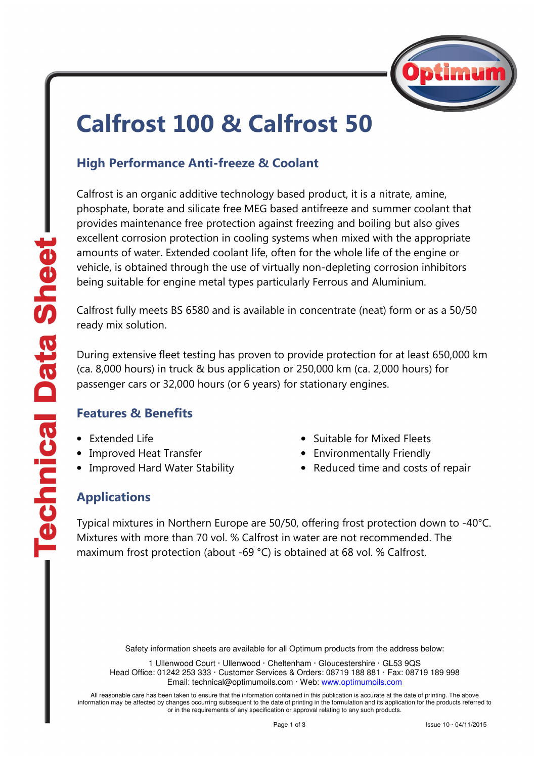

# Calfrost 100 & Calfrost 50

### High Performance Anti-freeze & Coolant

Calfrost is an organic additive technology based product, it is a nitrate, amine, phosphate, borate and silicate free MEG based antifreeze and summer coolant that provides maintenance free protection against freezing and boiling but also gives excellent corrosion protection in cooling systems when mixed with the appropriate amounts of water. Extended coolant life, often for the whole life of the engine or vehicle, is obtained through the use of virtually non-depleting corrosion inhibitors being suitable for engine metal types particularly Ferrous and Aluminium.

Calfrost fully meets BS 6580 and is available in concentrate (neat) form or as a 50/50 ready mix solution.

During extensive fleet testing has proven to provide protection for at least 650,000 km (ca. 8,000 hours) in truck & bus application or 250,000 km (ca. 2,000 hours) for passenger cars or 32,000 hours (or 6 years) for stationary engines.

#### Features & Benefits

- Extended Life
- Improved Heat Transfer
- Improved Hard Water Stability
- Suitable for Mixed Fleets
- Environmentally Friendly
- Reduced time and costs of repair

### Applications

Typical mixtures in Northern Europe are 50/50, offering frost protection down to -40°C. Mixtures with more than 70 vol. % Calfrost in water are not recommended. The maximum frost protection (about -69 °C) is obtained at 68 vol. % Calfrost.

Safety information sheets are available for all Optimum products from the address below:

1 Ullenwood Court · Ullenwood · Cheltenham · Gloucestershire · GL53 9QS Head Office: 01242 253 333 · Customer Services & Orders: 08719 188 881 · Fax: 08719 189 998 Email: technical@optimumoils.com · Web: www.optimumoils.com

All reasonable care has been taken to ensure that the information contained in this publication is accurate at the date of printing. The above information may be affected by changes occurring subsequent to the date of printing in the formulation and its application for the products referred to or in the requirements of any specification or approval relating to any such products.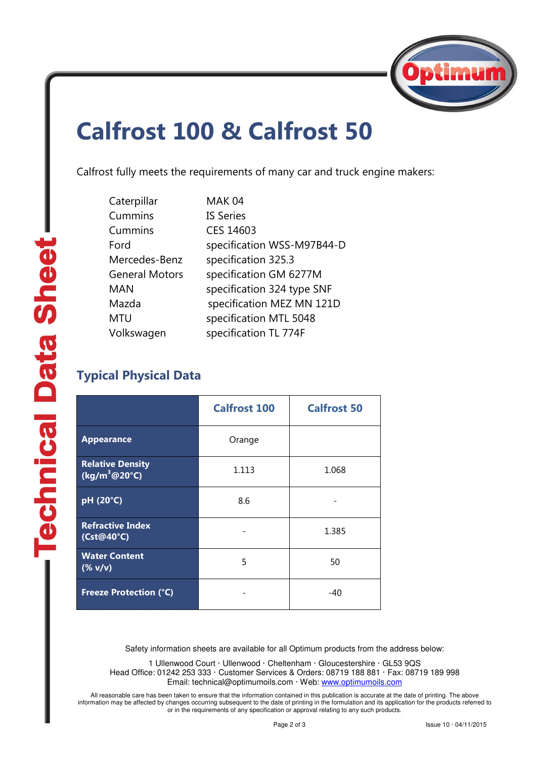

## Calfrost 100 & Calfrost 50

Calfrost fully meets the requirements of many car and truck engine makers:

| Caterpillar           | MAK 04                     |
|-----------------------|----------------------------|
| Cummins               | <b>IS Series</b>           |
| Cummins               | CES 14603                  |
| Ford                  | specification WSS-M97B44-D |
| Mercedes-Benz         | specification 325.3        |
| <b>General Motors</b> | specification GM 6277M     |
| <b>MAN</b>            | specification 324 type SNF |
| Mazda                 | specification MEZ MN 121D  |
| <b>MTU</b>            | specification MTL 5048     |
| Volkswagen            | specification TL 774F      |

### Typical Physical Data

|                                                   | <b>Calfrost 100</b> | <b>Calfrost 50</b> |
|---------------------------------------------------|---------------------|--------------------|
| <b>Appearance</b>                                 | Orange              |                    |
| <b>Relative Density</b><br>$(kg/m^3@20°C)$        | 1.113               | 1.068              |
| pH (20°C)                                         | 8.6                 |                    |
| <b>Refractive Index</b><br>(Cst@40°C)             |                     | 1.385              |
| <b>Water Content</b><br>$(% \mathbf{V})$ (% $V$ ) | 5                   | 50                 |
| <b>Freeze Protection (°C)</b>                     |                     | $-40$              |

Safety information sheets are available for all Optimum products from the address below:

1 Ullenwood Court · Ullenwood · Cheltenham · Gloucestershire · GL53 9QS Head Office: 01242 253 333 · Customer Services & Orders: 08719 188 881 · Fax: 08719 189 998 Email: technical@optimumoils.com · Web: www.optimumoils.com

All reasonable care has been taken to ensure that the information contained in this publication is accurate at the date of printing. The above information may be affected by changes occurring subsequent to the date of printing in the formulation and its application for the products referred to or in the requirements of any specification or approval relating to any such products.